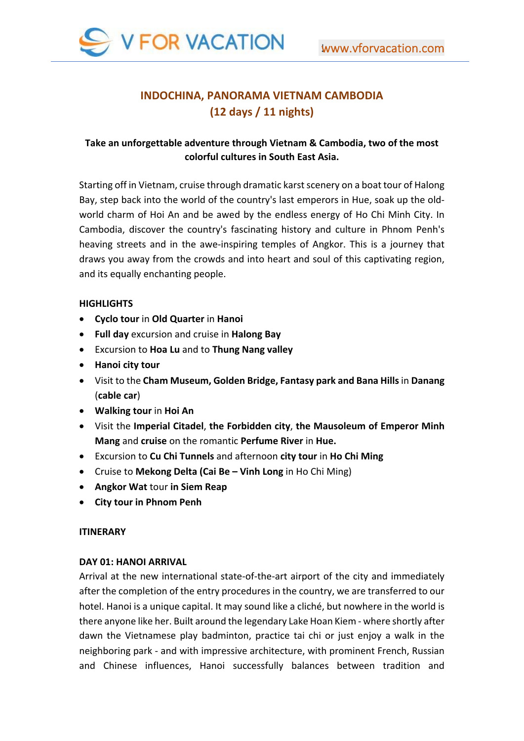

# **INDOCHINA, PANORAMA VIETNAM CAMBODIA (12 days / 11 nights)**

# **Take an unforgettable adventure through Vietnam & Cambodia, two of the most colorful cultures in South East Asia.**

Starting off in Vietnam, cruise through dramatic karst scenery on a boat tour of Halong Bay, step back into the world of the country's last emperors in Hue, soak up the old‐ world charm of Hoi An and be awed by the endless energy of Ho Chi Minh City. In Cambodia, discover the country's fascinating history and culture in Phnom Penh's heaving streets and in the awe-inspiring temples of Angkor. This is a journey that draws you away from the crowds and into heart and soul of this captivating region, and its equally enchanting people.

# **HIGHLIGHTS**

- **Cyclo tour** in **Old Quarter** in **Hanoi**
- **Full day** excursion and cruise in **Halong Bay**
- Excursion to **Hoa Lu** and to **Thung Nang valley**
- **Hanoi city tour**
- Visit to the **Cham Museum, Golden Bridge, Fantasy park and Bana Hills** in **Danang**  (**cable car**)
- **Walking tour** in **Hoi An**
- Visit the **Imperial Citadel**, **the Forbidden city**, **the Mausoleum of Emperor Minh Mang** and **cruise** on the romantic **Perfume River** in **Hue.**
- Excursion to **Cu Chi Tunnels** and afternoon **city tour** in **Ho Chi Ming**
- Cruise to **Mekong Delta (Cai Be Vinh Long** in Ho Chi Ming)
- **Angkor Wat** tour **in Siem Reap**
- **City tour in Phnom Penh**

# **ITINERARY**

# DAY 01: HANOI ARRIVAL

Arrival at the new international state‐of‐the‐art airport of the city and immediately after the completion of the entry procedures in the country, we are transferred to our hotel. Hanoi is a unique capital. It may sound like a cliché, but nowhere in the world is there anyone like her. Built around the legendary Lake Hoan Kiem ‐ where shortly after dawn the Vietnamese play badminton, practice tai chi or just enjoy a walk in the neighboring park ‐ and with impressive architecture, with prominent French, Russian and Chinese influences, Hanoi successfully balances between tradition and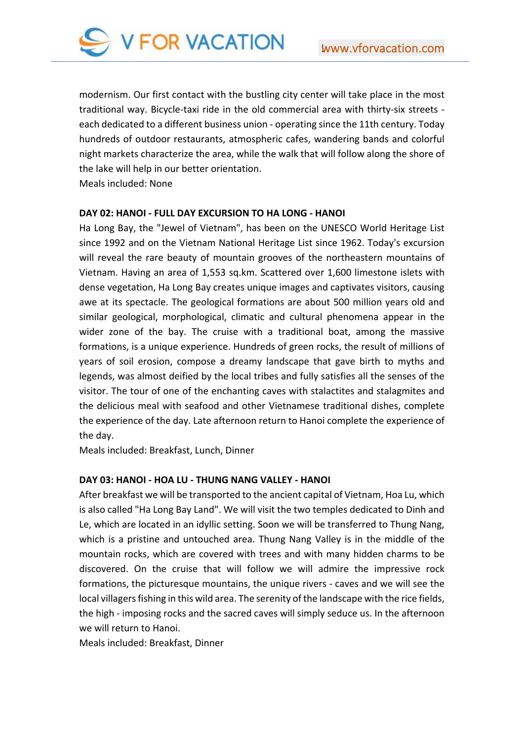

modernism. Our first contact with the bustling city center will take place in the most traditional way. Bicycle‐taxi ride in the old commercial area with thirty‐six streets ‐ each dedicated to a different business union ‐ operating since the 11th century. Today hundreds of outdoor restaurants, atmospheric cafes, wandering bands and colorful night markets characterize the area, while the walk that will follow along the shore of the lake will help in our better orientation.

Meals included: None

# **DAY 02: HANOI ‐ FULL DAY EXCURSION TO HA LONG ‐ HANOI**

Ha Long Bay, the "Jewel of Vietnam", has been on the UNESCO World Heritage List since 1992 and on the Vietnam National Heritage List since 1962. Today's excursion will reveal the rare beauty of mountain grooves of the northeastern mountains of Vietnam. Having an area of 1,553 sq.km. Scattered over 1,600 limestone islets with dense vegetation, Ha Long Bay creates unique images and captivates visitors, causing awe at its spectacle. The geological formations are about 500 million years old and similar geological, morphological, climatic and cultural phenomena appear in the wider zone of the bay. The cruise with a traditional boat, among the massive formations, is a unique experience. Hundreds of green rocks, the result of millions of years of soil erosion, compose a dreamy landscape that gave birth to myths and legends, was almost deified by the local tribes and fully satisfies all the senses of the visitor. The tour of one of the enchanting caves with stalactites and stalagmites and the delicious meal with seafood and other Vietnamese traditional dishes, complete the experience of the day. Late afternoon return to Hanoi complete the experience of the day.

Meals included: Breakfast, Lunch, Dinner

# **DAY 03: HANOI ‐ HOA LU ‐ THUNG NANG VALLEY ‐ HANOI**

After breakfast we will be transported to the ancient capital of Vietnam, Hoa Lu, which is also called "Ha Long Bay Land". We will visit the two temples dedicated to Dinh and Le, which are located in an idyllic setting. Soon we will be transferred to Thung Nang, which is a pristine and untouched area. Thung Nang Valley is in the middle of the mountain rocks, which are covered with trees and with many hidden charms to be discovered. On the cruise that will follow we will admire the impressive rock formations, the picturesque mountains, the unique rivers ‐ caves and we will see the local villagers fishing in this wild area. The serenity of the landscape with the rice fields, the high ‐ imposing rocks and the sacred caves will simply seduce us. In the afternoon we will return to Hanoi.

Meals included: Breakfast, Dinner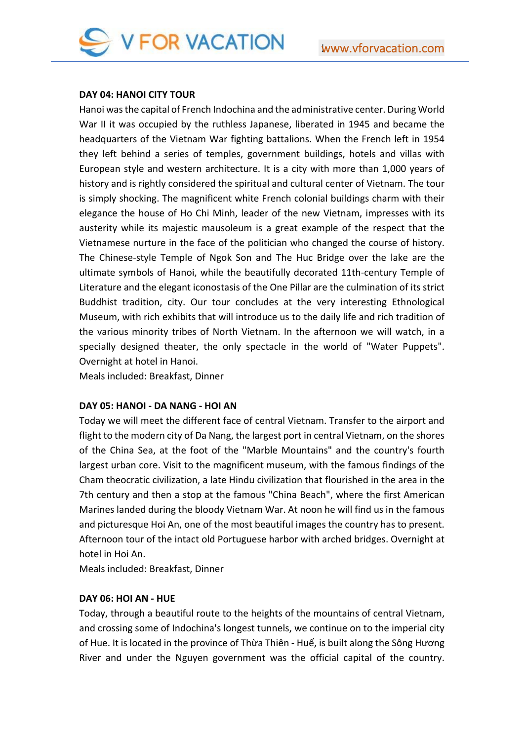**V FOR VACATION** 

#### **DAY 04: HANOI CITY TOUR**

Hanoi was the capital of French Indochina and the administrative center. During World War II it was occupied by the ruthless Japanese, liberated in 1945 and became the headquarters of the Vietnam War fighting battalions. When the French left in 1954 they left behind a series of temples, government buildings, hotels and villas with European style and western architecture. It is a city with more than 1,000 years of history and is rightly considered the spiritual and cultural center of Vietnam. The tour is simply shocking. The magnificent white French colonial buildings charm with their elegance the house of Ho Chi Minh, leader of the new Vietnam, impresses with its austerity while its majestic mausoleum is a great example of the respect that the Vietnamese nurture in the face of the politician who changed the course of history. The Chinese-style Temple of Ngok Son and The Huc Bridge over the lake are the ultimate symbols of Hanoi, while the beautifully decorated 11th‐century Temple of Literature and the elegant iconostasis of the One Pillar are the culmination of its strict Buddhist tradition, city. Our tour concludes at the very interesting Ethnological Museum, with rich exhibits that will introduce us to the daily life and rich tradition of the various minority tribes of North Vietnam. In the afternoon we will watch, in a specially designed theater, the only spectacle in the world of "Water Puppets". Overnight at hotel in Hanoi.

Meals included: Breakfast, Dinner

# **DAY 05: HANOI ‐ DA NANG ‐ HOI AN**

Today we will meet the different face of central Vietnam. Transfer to the airport and flight to the modern city of Da Nang, the largest port in central Vietnam, on the shores of the China Sea, at the foot of the "Marble Mountains" and the country's fourth largest urban core. Visit to the magnificent museum, with the famous findings of the Cham theocratic civilization, a late Hindu civilization that flourished in the area in the 7th century and then a stop at the famous "China Beach", where the first American Marines landed during the bloody Vietnam War. At noon he will find us in the famous and picturesque Hoi An, one of the most beautiful images the country has to present. Afternoon tour of the intact old Portuguese harbor with arched bridges. Overnight at hotel in Hoi An.

Meals included: Breakfast, Dinner

# **DAY 06: HOI AN ‐ HUE**

Today, through a beautiful route to the heights of the mountains of central Vietnam, and crossing some of Indochina's longest tunnels, we continue on to the imperial city of Hue. It is located in the province of Thừa Thiên ‐ Huế, is built along the Sông Hương River and under the Nguyen government was the official capital of the country.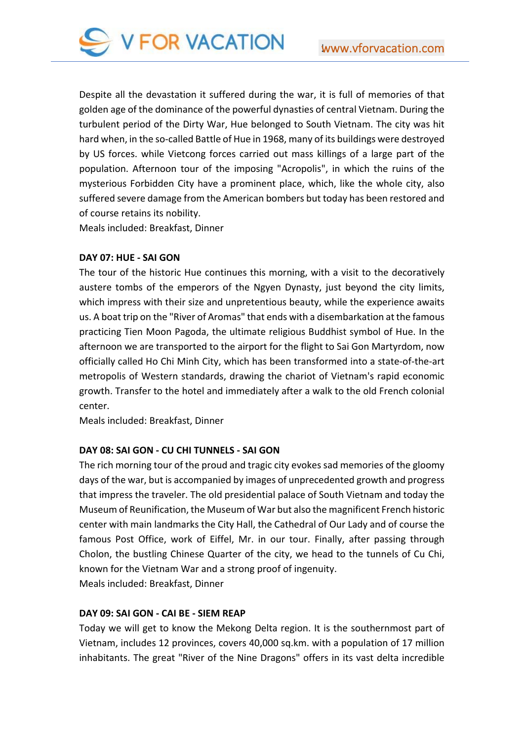

Despite all the devastation it suffered during the war, it is full of memories of that golden age of the dominance of the powerful dynasties of central Vietnam. During the turbulent period of the Dirty War, Hue belonged to South Vietnam. The city was hit hard when, in the so-called Battle of Hue in 1968, many of its buildings were destroyed by US forces. while Vietcong forces carried out mass killings of a large part of the population. Afternoon tour of the imposing "Acropolis", in which the ruins of the mysterious Forbidden City have a prominent place, which, like the whole city, also suffered severe damage from the American bombers but today has been restored and of course retains its nobility.

Meals included: Breakfast, Dinner

#### **DAY 07: HUE ‐ SAI GON**

The tour of the historic Hue continues this morning, with a visit to the decoratively austere tombs of the emperors of the Ngyen Dynasty, just beyond the city limits, which impress with their size and unpretentious beauty, while the experience awaits us. A boat trip on the "River of Aromas" that ends with a disembarkation at the famous practicing Tien Moon Pagoda, the ultimate religious Buddhist symbol of Hue. In the afternoon we are transported to the airport for the flight to Sai Gon Martyrdom, now officially called Ho Chi Minh City, which has been transformed into a state‐of‐the‐art metropolis of Western standards, drawing the chariot of Vietnam's rapid economic growth. Transfer to the hotel and immediately after a walk to the old French colonial center.

Meals included: Breakfast, Dinner

# **DAY 08: SAI GON ‐ CU CHI TUNNELS ‐ SAI GON**

The rich morning tour of the proud and tragic city evokes sad memories of the gloomy days of the war, but is accompanied by images of unprecedented growth and progress that impress the traveler. The old presidential palace of South Vietnam and today the Museum of Reunification, the Museum of War but also the magnificent French historic center with main landmarks the City Hall, the Cathedral of Our Lady and of course the famous Post Office, work of Eiffel, Mr. in our tour. Finally, after passing through Cholon, the bustling Chinese Quarter of the city, we head to the tunnels of Cu Chi, known for the Vietnam War and a strong proof of ingenuity. Meals included: Breakfast, Dinner

# **DAY 09: SAI GON ‐ CAI BE ‐ SIEM REAP**

Today we will get to know the Mekong Delta region. It is the southernmost part of Vietnam, includes 12 provinces, covers 40,000 sq.km. with a population of 17 million inhabitants. The great "River of the Nine Dragons" offers in its vast delta incredible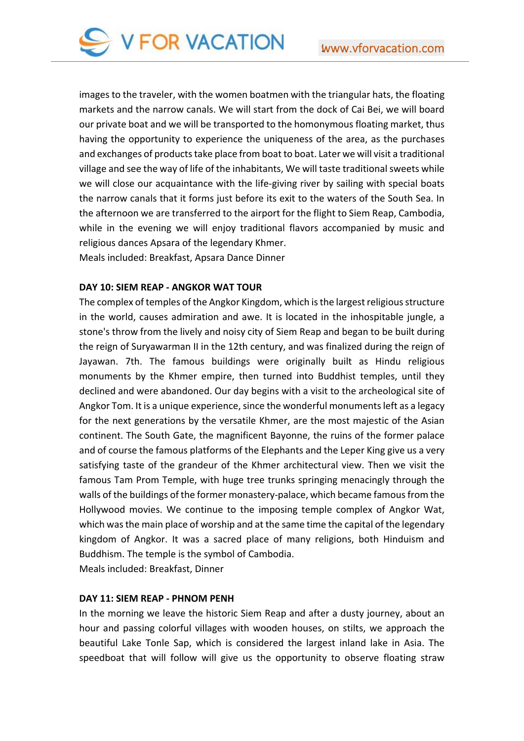

images to the traveler, with the women boatmen with the triangular hats, the floating markets and the narrow canals. We will start from the dock of Cai Bei, we will board our private boat and we will be transported to the homonymous floating market, thus having the opportunity to experience the uniqueness of the area, as the purchases and exchanges of products take place from boat to boat. Later we will visit a traditional village and see the way of life of the inhabitants, We will taste traditional sweets while we will close our acquaintance with the life-giving river by sailing with special boats the narrow canals that it forms just before its exit to the waters of the South Sea. In the afternoon we are transferred to the airport for the flight to Siem Reap, Cambodia, while in the evening we will enjoy traditional flavors accompanied by music and religious dances Apsara of the legendary Khmer. Meals included: Breakfast, Apsara Dance Dinner

#### **DAY 10: SIEM REAP ‐ ANGKOR WAT TOUR**

The complex of temples of the Angkor Kingdom, which is the largest religious structure in the world, causes admiration and awe. It is located in the inhospitable jungle, a stone's throw from the lively and noisy city of Siem Reap and began to be built during the reign of Suryawarman II in the 12th century, and was finalized during the reign of Jayawan. 7th. The famous buildings were originally built as Hindu religious monuments by the Khmer empire, then turned into Buddhist temples, until they declined and were abandoned. Our day begins with a visit to the archeological site of Angkor Tom. It is a unique experience, since the wonderful monuments left as a legacy for the next generations by the versatile Khmer, are the most majestic of the Asian continent. The South Gate, the magnificent Bayonne, the ruins of the former palace and of course the famous platforms of the Elephants and the Leper King give us a very satisfying taste of the grandeur of the Khmer architectural view. Then we visit the famous Tam Prom Temple, with huge tree trunks springing menacingly through the walls of the buildings of the former monastery‐palace, which became famous from the Hollywood movies. We continue to the imposing temple complex of Angkor Wat, which was the main place of worship and at the same time the capital of the legendary kingdom of Angkor. It was a sacred place of many religions, both Hinduism and Buddhism. The temple is the symbol of Cambodia.

Meals included: Breakfast, Dinner

#### **DAY 11: SIEM REAP ‐ PHNOM PENH**

In the morning we leave the historic Siem Reap and after a dusty journey, about an hour and passing colorful villages with wooden houses, on stilts, we approach the beautiful Lake Tonle Sap, which is considered the largest inland lake in Asia. The speedboat that will follow will give us the opportunity to observe floating straw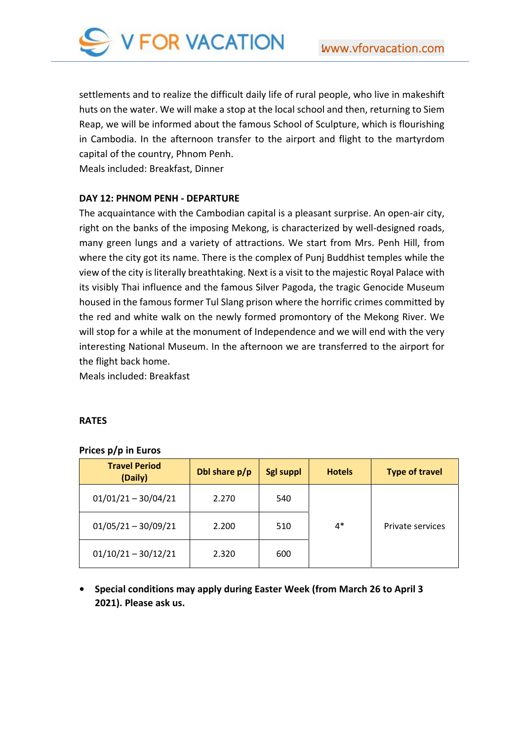

settlements and to realize the difficult daily life of rural people, who live in makeshift huts on the water. We will make a stop at the local school and then, returning to Siem Reap, we will be informed about the famous School of Sculpture, which is flourishing in Cambodia. In the afternoon transfer to the airport and flight to the martyrdom capital of the country, Phnom Penh.

Meals included: Breakfast, Dinner

# **DAY 12: PHNOM PENH ‐ DEPARTURE**

The acquaintance with the Cambodian capital is a pleasant surprise. An open-air city, right on the banks of the imposing Mekong, is characterized by well-designed roads, many green lungs and a variety of attractions. We start from Mrs. Penh Hill, from where the city got its name. There is the complex of Punj Buddhist temples while the view of the city is literally breathtaking. Next is a visit to the majestic Royal Palace with its visibly Thai influence and the famous Silver Pagoda, the tragic Genocide Museum housed in the famous former Tul Slang prison where the horrific crimes committed by the red and white walk on the newly formed promontory of the Mekong River. We will stop for a while at the monument of Independence and we will end with the very interesting National Museum. In the afternoon we are transferred to the airport for the flight back home.

Meals included: Breakfast

# **RATES**

# **Prices p/p in Euros**

| <b>Travel Period</b><br>(Daily) | Dbl share p/p | <b>Sgl suppl</b> | <b>Hotels</b> | <b>Type of travel</b> |
|---------------------------------|---------------|------------------|---------------|-----------------------|
| $01/01/21 - 30/04/21$           | 2.270         | 540              |               |                       |
| $01/05/21 - 30/09/21$           | 2.200         | 510              | $4*$          | Private services      |
| $01/10/21 - 30/12/21$           | 2.320         | 600              |               |                       |

**• Special conditions may apply during Easter Week (from March 26 to April 3 2021). Please ask us.**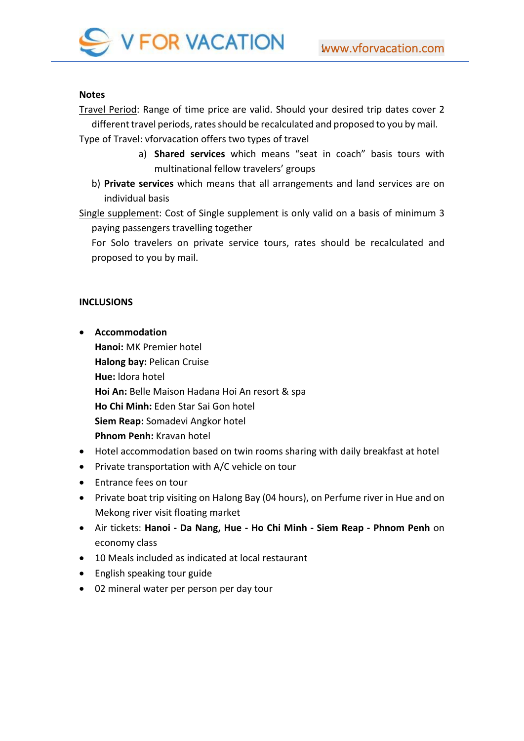

#### **Notes**

Travel Period: Range of time price are valid. Should your desired trip dates cover 2 different travel periods, rates should be recalculated and proposed to you by mail.

Type of Travel: vforvacation offers two types of travel

- a) **Shared services** which means "seat in coach" basis tours with multinational fellow travelers' groups
- b) **Private services** which means that all arrangements and land services are on individual basis

Single supplement: Cost of Single supplement is only valid on a basis of minimum 3 paying passengers travelling together

For Solo travelers on private service tours, rates should be recalculated and proposed to you by mail.

# **INCLUSIONS**

- **Accommodation Hanoi:** MK Premier hotel **Halong bay:** Pelican Cruise **Hue:** ldora hotel **Hoi An:** Belle Maison Hadana Hoi An resort & spa **Ho Chi Minh:** Eden Star Sai Gon hotel **Siem Reap:** Somadevi Angkor hotel **Phnom Penh:** Kravan hotel
- Hotel accommodation based on twin rooms sharing with daily breakfast at hotel
- Private transportation with A/C vehicle on tour
- Entrance fees on tour
- Private boat trip visiting on Halong Bay (04 hours), on Perfume river in Hue and on Mekong river visit floating market
- Air tickets: **Hanoi ‐ Da Nang, Hue ‐ Ho Chi Minh ‐ Siem Reap ‐ Phnom Penh** on economy class
- 10 Meals included as indicated at local restaurant
- **•** English speaking tour guide
- 02 mineral water per person per day tour